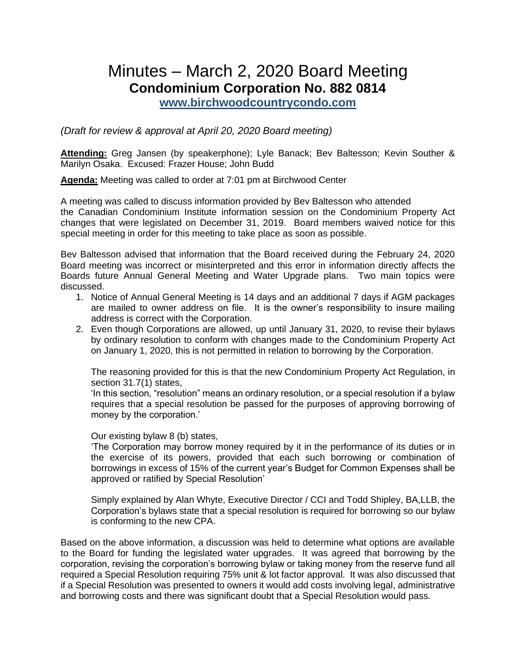# Minutes – March 2, 2020 Board Meeting **Condominium Corporation No. 882 0814**

**[www.birchwoodcountrycondo.com](http://www.birchwoodcountrycondo.com/)**

*(Draft for review & approval at April 20, 2020 Board meeting)*

**Attending:** Greg Jansen (by speakerphone); Lyle Banack; Bev Baltesson; Kevin Souther & Marilyn Osaka. Excused: Frazer House; John Budd

**Agenda:** Meeting was called to order at 7:01 pm at Birchwood Center

A meeting was called to discuss information provided by Bev Baltesson who attended the Canadian Condominium Institute information session on the Condominium Property Act changes that were legislated on December 31, 2019. Board members waived notice for this special meeting in order for this meeting to take place as soon as possible.

Bev Baltesson advised that information that the Board received during the February 24, 2020 Board meeting was incorrect or misinterpreted and this error in information directly affects the Boards future Annual General Meeting and Water Upgrade plans. Two main topics were discussed.

- 1. Notice of Annual General Meeting is 14 days and an additional 7 days if AGM packages are mailed to owner address on file. It is the owner's responsibility to insure mailing address is correct with the Corporation.
- 2. Even though Corporations are allowed, up until January 31, 2020, to revise their bylaws by ordinary resolution to conform with changes made to the Condominium Property Act on January 1, 2020, this is not permitted in relation to borrowing by the Corporation.

The reasoning provided for this is that the new Condominium Property Act Regulation, in section 31.7(1) states,

'In this section, "resolution" means an ordinary resolution, or a special resolution if a bylaw requires that a special resolution be passed for the purposes of approving borrowing of money by the corporation.'

Our existing bylaw 8 (b) states,

'The Corporation may borrow money required by it in the performance of its duties or in the exercise of its powers, provided that each such borrowing or combination of borrowings in excess of 15% of the current year's Budget for Common Expenses shall be approved or ratified by Special Resolution'

Simply explained by Alan Whyte, Executive Director / CCI and Todd Shipley, BA,LLB, the Corporation's bylaws state that a special resolution is required for borrowing so our bylaw is conforming to the new CPA.

Based on the above information, a discussion was held to determine what options are available to the Board for funding the legislated water upgrades. It was agreed that borrowing by the corporation, revising the corporation's borrowing bylaw or taking money from the reserve fund all required a Special Resolution requiring 75% unit & lot factor approval. It was also discussed that if a Special Resolution was presented to owners it would add costs involving legal, administrative and borrowing costs and there was significant doubt that a Special Resolution would pass.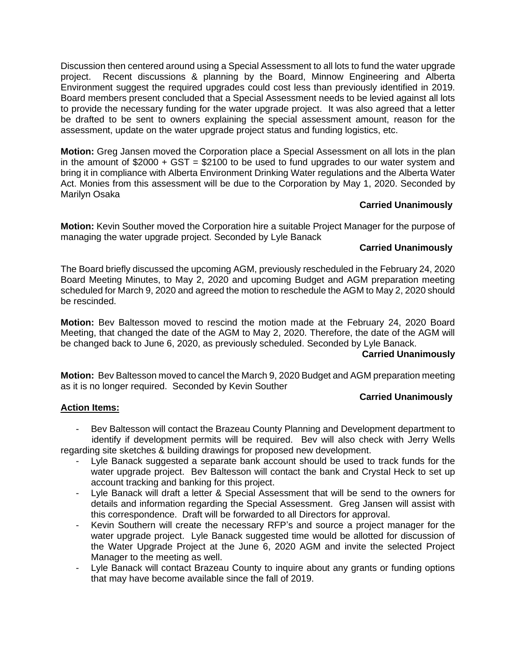Discussion then centered around using a Special Assessment to all lots to fund the water upgrade project. Recent discussions & planning by the Board, Minnow Engineering and Alberta Environment suggest the required upgrades could cost less than previously identified in 2019. Board members present concluded that a Special Assessment needs to be levied against all lots to provide the necessary funding for the water upgrade project. It was also agreed that a letter be drafted to be sent to owners explaining the special assessment amount, reason for the assessment, update on the water upgrade project status and funding logistics, etc.

**Motion:** Greg Jansen moved the Corporation place a Special Assessment on all lots in the plan in the amount of  $$2000 + GST = $2100$  to be used to fund upgrades to our water system and bring it in compliance with Alberta Environment Drinking Water regulations and the Alberta Water Act. Monies from this assessment will be due to the Corporation by May 1, 2020. Seconded by Marilyn Osaka

## **Carried Unanimously**

**Motion:** Kevin Souther moved the Corporation hire a suitable Project Manager for the purpose of managing the water upgrade project. Seconded by Lyle Banack

#### **Carried Unanimously**

The Board briefly discussed the upcoming AGM, previously rescheduled in the February 24, 2020 Board Meeting Minutes, to May 2, 2020 and upcoming Budget and AGM preparation meeting scheduled for March 9, 2020 and agreed the motion to reschedule the AGM to May 2, 2020 should be rescinded.

**Motion:** Bev Baltesson moved to rescind the motion made at the February 24, 2020 Board Meeting, that changed the date of the AGM to May 2, 2020. Therefore, the date of the AGM will be changed back to June 6, 2020, as previously scheduled. Seconded by Lyle Banack.

#### **Carried Unanimously**

**Motion:** Bev Baltesson moved to cancel the March 9, 2020 Budget and AGM preparation meeting as it is no longer required. Seconded by Kevin Souther

#### **Carried Unanimously**

#### **Action Items:**

- Bev Baltesson will contact the Brazeau County Planning and Development department to identify if development permits will be required. Bev will also check with Jerry Wells regarding site sketches & building drawings for proposed new development.

Lyle Banack suggested a separate bank account should be used to track funds for the water upgrade project. Bev Baltesson will contact the bank and Crystal Heck to set up

- account tracking and banking for this project. - Lyle Banack will draft a letter & Special Assessment that will be send to the owners for details and information regarding the Special Assessment. Greg Jansen will assist with this correspondence. Draft will be forwarded to all Directors for approval.
- Kevin Southern will create the necessary RFP's and source a project manager for the water upgrade project. Lyle Banack suggested time would be allotted for discussion of the Water Upgrade Project at the June 6, 2020 AGM and invite the selected Project Manager to the meeting as well.
- Lyle Banack will contact Brazeau County to inquire about any grants or funding options that may have become available since the fall of 2019.